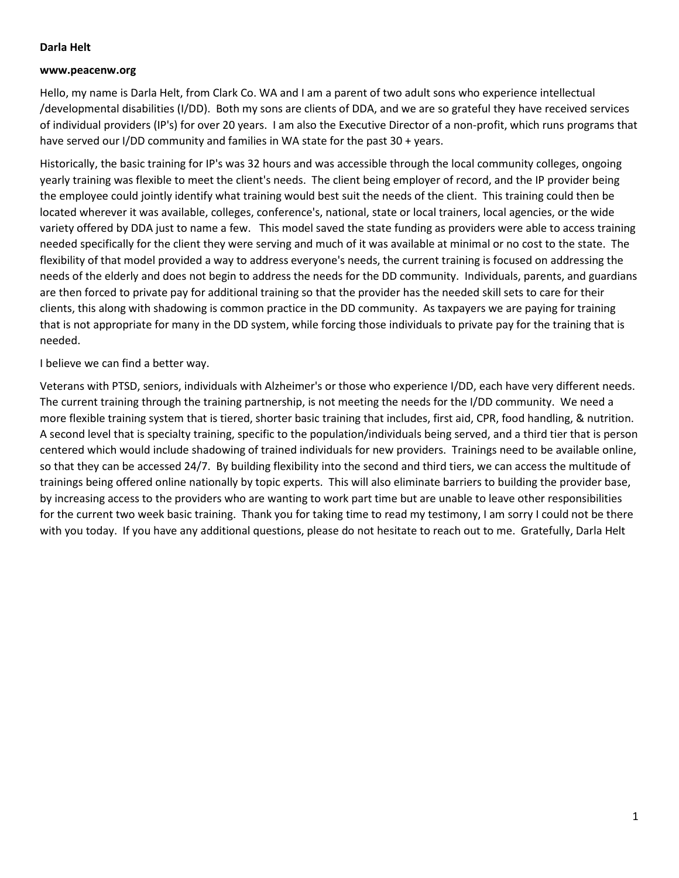### **Darla Helt**

#### **www.peacenw.org**

Hello, my name is Darla Helt, from Clark Co. WA and I am a parent of two adult sons who experience intellectual /developmental disabilities (I/DD). Both my sons are clients of DDA, and we are so grateful they have received services of individual providers (IP's) for over 20 years. I am also the Executive Director of a non-profit, which runs programs that have served our I/DD community and families in WA state for the past 30 + years.

Historically, the basic training for IP's was 32 hours and was accessible through the local community colleges, ongoing yearly training was flexible to meet the client's needs. The client being employer of record, and the IP provider being the employee could jointly identify what training would best suit the needs of the client. This training could then be located wherever it was available, colleges, conference's, national, state or local trainers, local agencies, or the wide variety offered by DDA just to name a few. This model saved the state funding as providers were able to access training needed specifically for the client they were serving and much of it was available at minimal or no cost to the state. The flexibility of that model provided a way to address everyone's needs, the current training is focused on addressing the needs of the elderly and does not begin to address the needs for the DD community. Individuals, parents, and guardians are then forced to private pay for additional training so that the provider has the needed skill sets to care for their clients, this along with shadowing is common practice in the DD community. As taxpayers we are paying for training that is not appropriate for many in the DD system, while forcing those individuals to private pay for the training that is needed.

I believe we can find a better way.

Veterans with PTSD, seniors, individuals with Alzheimer's or those who experience I/DD, each have very different needs. The current training through the training partnership, is not meeting the needs for the I/DD community. We need a more flexible training system that is tiered, shorter basic training that includes, first aid, CPR, food handling, & nutrition. A second level that is specialty training, specific to the population/individuals being served, and a third tier that is person centered which would include shadowing of trained individuals for new providers. Trainings need to be available online, so that they can be accessed 24/7. By building flexibility into the second and third tiers, we can access the multitude of trainings being offered online nationally by topic experts. This will also eliminate barriers to building the provider base, by increasing access to the providers who are wanting to work part time but are unable to leave other responsibilities for the current two week basic training. Thank you for taking time to read my testimony, I am sorry I could not be there with you today. If you have any additional questions, please do not hesitate to reach out to me. Gratefully, Darla Helt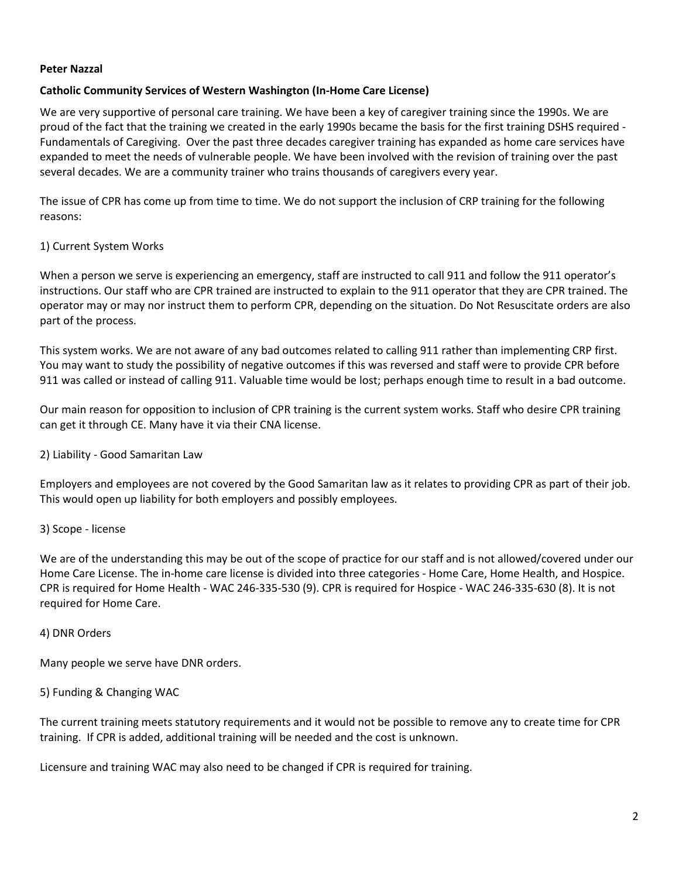### **Peter Nazzal**

## **Catholic Community Services of Western Washington (In-Home Care License)**

We are very supportive of personal care training. We have been a key of caregiver training since the 1990s. We are proud of the fact that the training we created in the early 1990s became the basis for the first training DSHS required - Fundamentals of Caregiving. Over the past three decades caregiver training has expanded as home care services have expanded to meet the needs of vulnerable people. We have been involved with the revision of training over the past several decades. We are a community trainer who trains thousands of caregivers every year.

The issue of CPR has come up from time to time. We do not support the inclusion of CRP training for the following reasons:

## 1) Current System Works

When a person we serve is experiencing an emergency, staff are instructed to call 911 and follow the 911 operator's instructions. Our staff who are CPR trained are instructed to explain to the 911 operator that they are CPR trained. The operator may or may nor instruct them to perform CPR, depending on the situation. Do Not Resuscitate orders are also part of the process.

This system works. We are not aware of any bad outcomes related to calling 911 rather than implementing CRP first. You may want to study the possibility of negative outcomes if this was reversed and staff were to provide CPR before 911 was called or instead of calling 911. Valuable time would be lost; perhaps enough time to result in a bad outcome.

Our main reason for opposition to inclusion of CPR training is the current system works. Staff who desire CPR training can get it through CE. Many have it via their CNA license.

### 2) Liability - Good Samaritan Law

Employers and employees are not covered by the Good Samaritan law as it relates to providing CPR as part of their job. This would open up liability for both employers and possibly employees.

### 3) Scope - license

We are of the understanding this may be out of the scope of practice for our staff and is not allowed/covered under our Home Care License. The in-home care license is divided into three categories - Home Care, Home Health, and Hospice. CPR is required for Home Health - WAC 246-335-530 (9). CPR is required for Hospice - WAC 246-335-630 (8). It is not required for Home Care.

### 4) DNR Orders

Many people we serve have DNR orders.

### 5) Funding & Changing WAC

The current training meets statutory requirements and it would not be possible to remove any to create time for CPR training. If CPR is added, additional training will be needed and the cost is unknown.

Licensure and training WAC may also need to be changed if CPR is required for training.